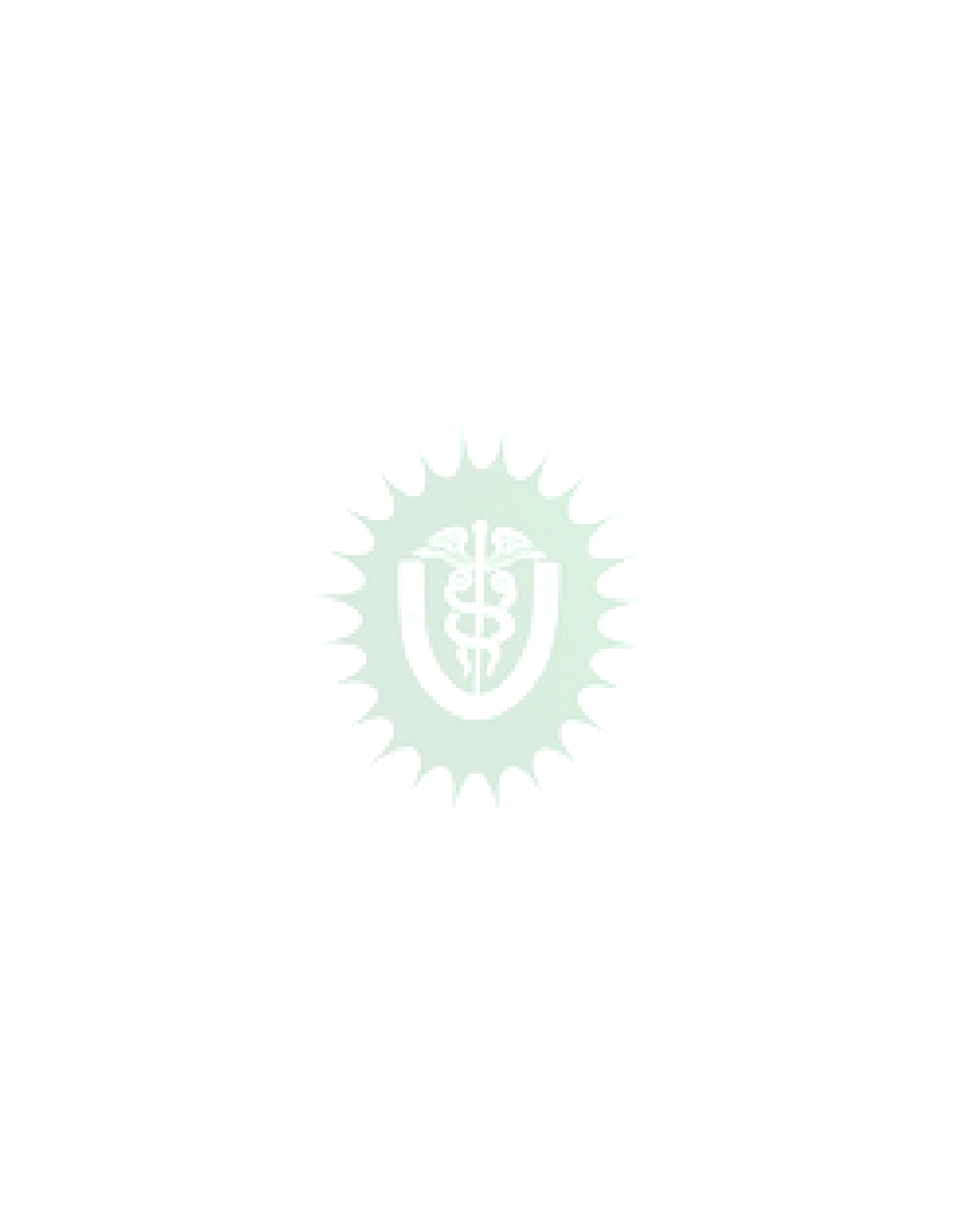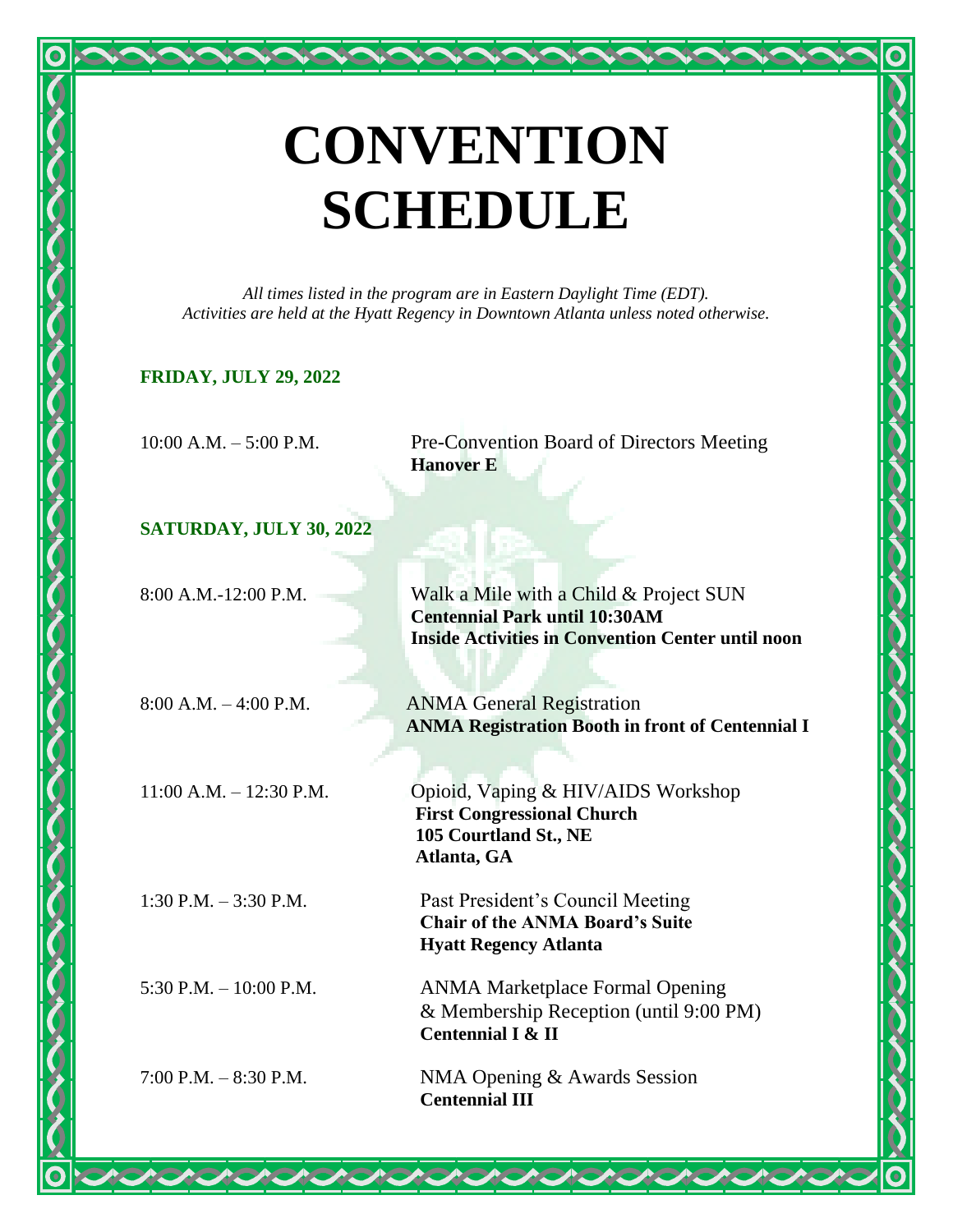## **CONVENTION SCHEDULE**

*All times listed in the program are in Eastern Daylight Time (EDT). Activities are held at the Hyatt Regency in Downtown Atlanta unless noted otherwise.*

## **FRIDAY, JULY 29, 2022**

| $10:00$ A.M. $-5:00$ P.M.      | Pre-Convention Board of Directors Meeting<br><b>Hanover E</b>                                                                              |
|--------------------------------|--------------------------------------------------------------------------------------------------------------------------------------------|
| <b>SATURDAY, JULY 30, 2022</b> |                                                                                                                                            |
| 8:00 A.M.-12:00 P.M.           | Walk a Mile with a Child & Project SUN<br><b>Centennial Park until 10:30AM</b><br><b>Inside Activities in Convention Center until noon</b> |
| $8:00$ A.M. $-4:00$ P.M.       | <b>ANMA General Registration</b><br><b>ANMA Registration Booth in front of Centennial I</b>                                                |
| $11:00$ A.M. $- 12:30$ P.M.    | Opioid, Vaping & HIV/AIDS Workshop<br><b>First Congressional Church</b><br>105 Courtland St., NE<br>Atlanta, GA                            |
| $1:30$ P.M. $-3:30$ P.M.       | Past President's Council Meeting<br><b>Chair of the ANMA Board's Suite</b><br><b>Hyatt Regency Atlanta</b>                                 |
| 5:30 P.M. $- 10:00$ P.M.       | <b>ANMA Marketplace Formal Opening</b><br>& Membership Reception (until 9:00 PM)<br><b>Centennial I &amp; II</b>                           |
| $7:00$ P.M. $-8:30$ P.M.       | NMA Opening & Awards Session<br><b>Centennial III</b>                                                                                      |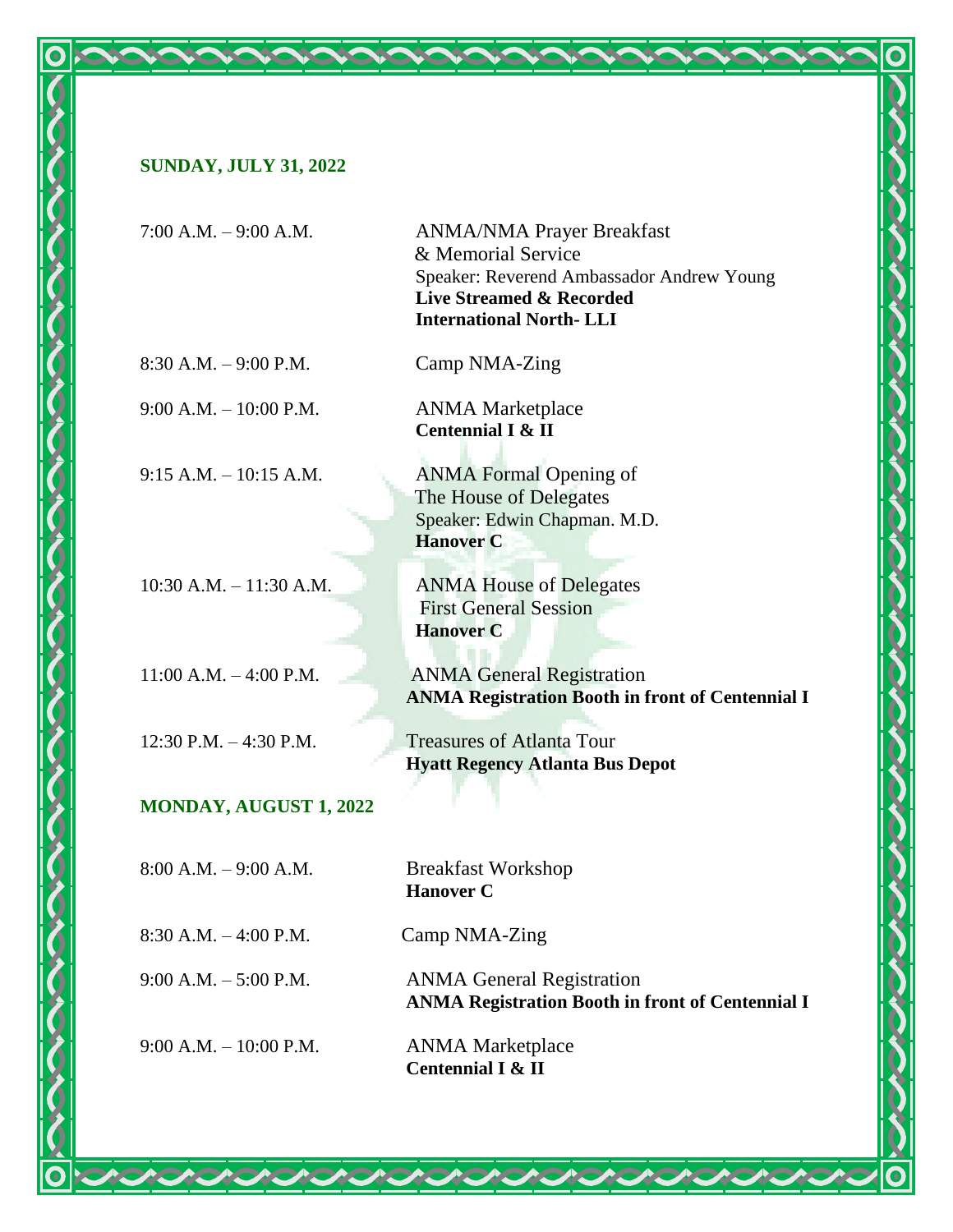## **SUNDAY, JULY 31, 2022**

| $7:00$ A.M. $-9:00$ A.M.    | <b>ANMA/NMA Prayer Breakfast</b><br>& Memorial Service<br>Speaker: Reverend Ambassador Andrew Young<br>Live Streamed & Recorded<br><b>International North-LLI</b> |
|-----------------------------|-------------------------------------------------------------------------------------------------------------------------------------------------------------------|
| $8:30$ A.M. $-9:00$ P.M.    | Camp NMA-Zing                                                                                                                                                     |
| $9:00$ A.M. $-10:00$ P.M.   | <b>ANMA</b> Marketplace<br><b>Centennial I &amp; II</b>                                                                                                           |
| $9:15$ A.M. $-10:15$ A.M.   | <b>ANMA</b> Formal Opening of<br>The House of Delegates<br>Speaker: Edwin Chapman. M.D.<br><b>Hanover C</b>                                                       |
| $10:30$ A.M. $- 11:30$ A.M. | <b>ANMA House of Delegates</b><br><b>First General Session</b><br><b>Hanover C</b>                                                                                |
| $11:00$ A.M. $-4:00$ P.M.   | <b>ANMA General Registration</b><br><b>ANMA Registration Booth in front of Centennial I</b>                                                                       |
| 12:30 P.M. - 4:30 P.M.      | <b>Treasures of Atlanta Tour</b><br><b>Hyatt Regency Atlanta Bus Depot</b>                                                                                        |
| MONDAY, AUGUST 1, 2022      |                                                                                                                                                                   |
| $8:00$ A.M. $-9:00$ A.M.    | <b>Breakfast Workshop</b><br><b>Hanover C</b>                                                                                                                     |
| $8:30$ A.M. $-4:00$ P.M.    | Camp NMA-Zing                                                                                                                                                     |
| $9:00$ A.M. $-5:00$ P.M.    | <b>ANMA General Registration</b><br><b>ANMA Registration Booth in front of Centennial I</b>                                                                       |
| $9:00$ A.M. $-10:00$ P.M.   | <b>ANMA</b> Marketplace<br>Centennial I & II                                                                                                                      |

 $\overline{\textbf{O}}$ 

**ROADACA** 

CACACACACAC

Mondian Mondian

OIONO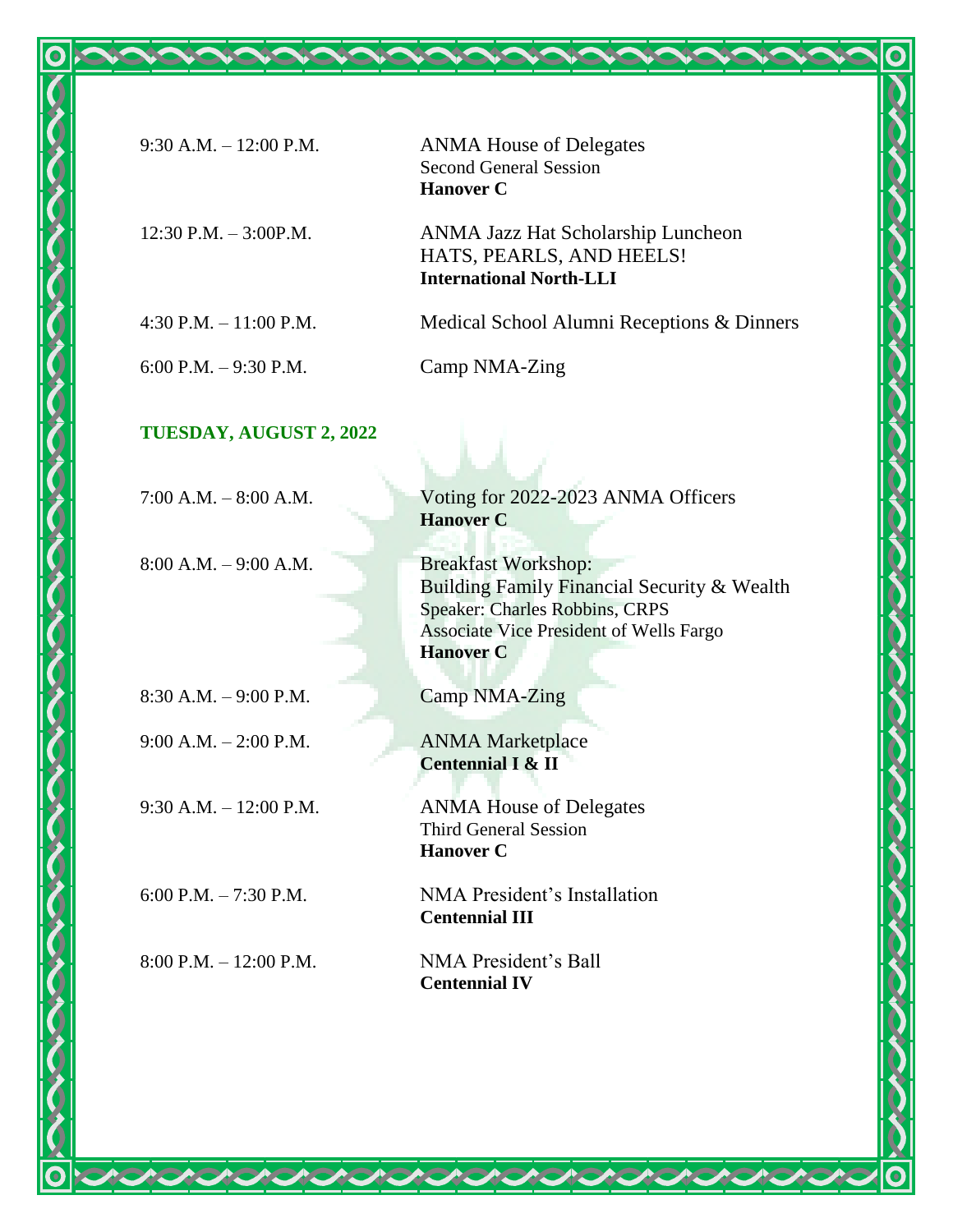| $9:30$ A.M. $-12:00$ P.M. | <b>ANMA House of Delegates</b><br><b>Second General Session</b><br><b>Hanover C</b>                                                                                                      |
|---------------------------|------------------------------------------------------------------------------------------------------------------------------------------------------------------------------------------|
| $12:30$ P.M. $-3:00$ P.M. | <b>ANMA Jazz Hat Scholarship Luncheon</b><br>HATS, PEARLS, AND HEELS!<br><b>International North-LLI</b>                                                                                  |
| 4:30 P.M. $- 11:00$ P.M.  | Medical School Alumni Receptions & Dinners                                                                                                                                               |
| 6:00 P.M. $-9:30$ P.M.    | Camp NMA-Zing                                                                                                                                                                            |
| TUESDAY, AUGUST 2, 2022   |                                                                                                                                                                                          |
| $7:00 A.M. - 8:00 A.M.$   | Voting for 2022-2023 ANMA Officers<br><b>Hanover C</b>                                                                                                                                   |
| $8:00 A.M. - 9:00 A.M.$   | <b>Breakfast Workshop:</b><br>Building Family Financial Security & Wealth<br><b>Speaker: Charles Robbins, CRPS</b><br><b>Associate Vice President of Wells Fargo</b><br><b>Hanover C</b> |
| $8:30$ A.M. $-9:00$ P.M.  | Camp NMA-Zing                                                                                                                                                                            |
| $9:00$ A.M. $-2:00$ P.M.  | <b>ANMA</b> Marketplace<br><b>Centennial I &amp; II</b>                                                                                                                                  |
| $9:30$ A.M. $-12:00$ P.M. | <b>ANMA House of Delegates</b><br><b>Third General Session</b><br><b>Hanover C</b>                                                                                                       |
| 6:00 P.M. $-7:30$ P.M.    | NMA President's Installation<br><b>Centennial III</b>                                                                                                                                    |
| $8:00$ P.M. $-12:00$ P.M. | NMA President's Ball<br><b>Centennial IV</b>                                                                                                                                             |

 $\bullet$ 

 $\overline{\mathbf{o}}$ 

0 フィフォンタンクンクンクンクンクンクンクンクンクンクンクンク